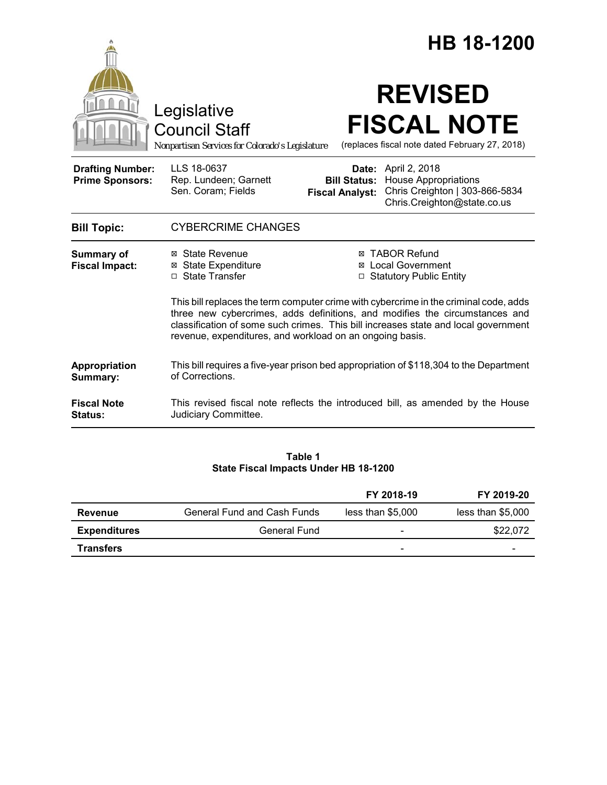|                                                   |                                                                                                                                                                                                                                                                                                                        |                                               | HB 18-1200                                                                                                          |  |
|---------------------------------------------------|------------------------------------------------------------------------------------------------------------------------------------------------------------------------------------------------------------------------------------------------------------------------------------------------------------------------|-----------------------------------------------|---------------------------------------------------------------------------------------------------------------------|--|
|                                                   | Legislative<br><b>Council Staff</b><br>Nonpartisan Services for Colorado's Legislature                                                                                                                                                                                                                                 |                                               | <b>REVISED</b><br><b>FISCAL NOTE</b><br>(replaces fiscal note dated February 27, 2018)                              |  |
| <b>Drafting Number:</b><br><b>Prime Sponsors:</b> | LLS 18-0637<br>Rep. Lundeen; Garnett<br>Sen. Coram; Fields                                                                                                                                                                                                                                                             | <b>Bill Status:</b><br><b>Fiscal Analyst:</b> | <b>Date:</b> April 2, 2018<br>House Appropriations<br>Chris Creighton   303-866-5834<br>Chris.Creighton@state.co.us |  |
| <b>Bill Topic:</b>                                | <b>CYBERCRIME CHANGES</b>                                                                                                                                                                                                                                                                                              |                                               |                                                                                                                     |  |
| <b>Summary of</b><br><b>Fiscal Impact:</b>        | ⊠ State Revenue<br><b>State Expenditure</b><br>⊠<br>$\Box$ State Transfer                                                                                                                                                                                                                                              |                                               | <b>⊠ TABOR Refund</b><br>⊠ Local Government<br>□ Statutory Public Entity                                            |  |
|                                                   | This bill replaces the term computer crime with cybercrime in the criminal code, adds<br>three new cybercrimes, adds definitions, and modifies the circumstances and<br>classification of some such crimes. This bill increases state and local government<br>revenue, expenditures, and workload on an ongoing basis. |                                               |                                                                                                                     |  |
| Appropriation<br>Summary:                         | This bill requires a five-year prison bed appropriation of \$118,304 to the Department<br>of Corrections.                                                                                                                                                                                                              |                                               |                                                                                                                     |  |
| <b>Fiscal Note</b><br><b>Status:</b>              | Judiciary Committee.                                                                                                                                                                                                                                                                                                   |                                               | This revised fiscal note reflects the introduced bill, as amended by the House                                      |  |

# **Table 1 State Fiscal Impacts Under HB 18-1200**

|                     |                             | FY 2018-19                   | FY 2019-20        |
|---------------------|-----------------------------|------------------------------|-------------------|
| <b>Revenue</b>      | General Fund and Cash Funds | less than \$5,000            | less than \$5,000 |
| <b>Expenditures</b> | General Fund                | $\qquad \qquad \blacksquare$ | \$22,072          |
| <b>Transfers</b>    |                             | $\overline{\phantom{0}}$     | -                 |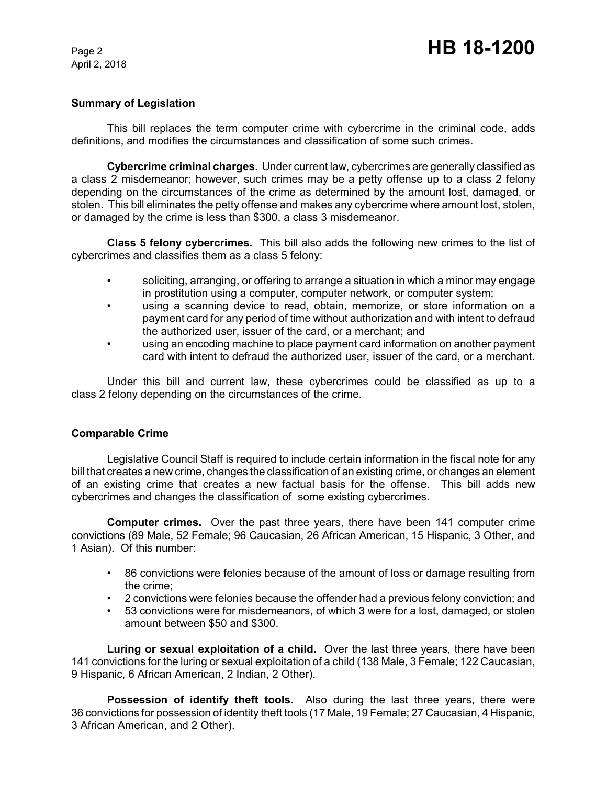# **Summary of Legislation**

This bill replaces the term computer crime with cybercrime in the criminal code, adds definitions, and modifies the circumstances and classification of some such crimes.

**Cybercrime criminal charges.** Under current law, cybercrimes are generally classified as a class 2 misdemeanor; however, such crimes may be a petty offense up to a class 2 felony depending on the circumstances of the crime as determined by the amount lost, damaged, or stolen. This bill eliminates the petty offense and makes any cybercrime where amount lost, stolen, or damaged by the crime is less than \$300, a class 3 misdemeanor.

**Class 5 felony cybercrimes.** This bill also adds the following new crimes to the list of cybercrimes and classifies them as a class 5 felony:

- soliciting, arranging, or offering to arrange a situation in which a minor may engage in prostitution using a computer, computer network, or computer system;
- using a scanning device to read, obtain, memorize, or store information on a payment card for any period of time without authorization and with intent to defraud the authorized user, issuer of the card, or a merchant; and
- using an encoding machine to place payment card information on another payment card with intent to defraud the authorized user, issuer of the card, or a merchant.

Under this bill and current law, these cybercrimes could be classified as up to a class 2 felony depending on the circumstances of the crime.

#### **Comparable Crime**

Legislative Council Staff is required to include certain information in the fiscal note for any bill that creates a new crime, changes the classification of an existing crime, or changes an element of an existing crime that creates a new factual basis for the offense. This bill adds new cybercrimes and changes the classification of some existing cybercrimes.

**Computer crimes.** Over the past three years, there have been 141 computer crime convictions (89 Male, 52 Female; 96 Caucasian, 26 African American, 15 Hispanic, 3 Other, and 1 Asian). Of this number:

- 86 convictions were felonies because of the amount of loss or damage resulting from the crime;
- 2 convictions were felonies because the offender had a previous felony conviction; and
- 53 convictions were for misdemeanors, of which 3 were for a lost, damaged, or stolen amount between \$50 and \$300.

**Luring or sexual exploitation of a child.** Over the last three years, there have been 141 convictions for the luring or sexual exploitation of a child (138 Male, 3 Female; 122 Caucasian, 9 Hispanic, 6 African American, 2 Indian, 2 Other).

**Possession of identify theft tools.** Also during the last three years, there were 36 convictions for possession of identity theft tools (17 Male, 19 Female; 27 Caucasian, 4 Hispanic, 3 African American, and 2 Other).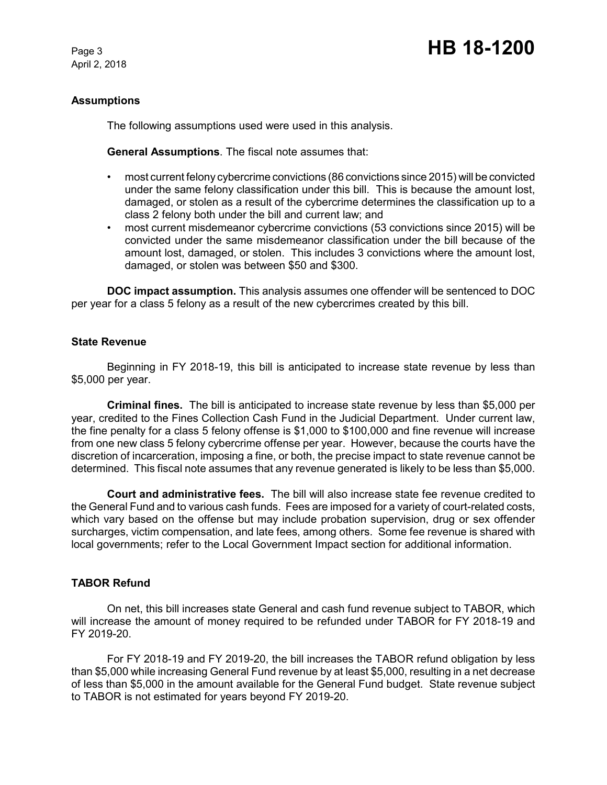# Page 3 **HB 18-1200**

# **Assumptions**

The following assumptions used were used in this analysis.

**General Assumptions**. The fiscal note assumes that:

- most current felony cybercrime convictions (86 convictions since 2015) will be convicted under the same felony classification under this bill. This is because the amount lost, damaged, or stolen as a result of the cybercrime determines the classification up to a class 2 felony both under the bill and current law; and
- most current misdemeanor cybercrime convictions (53 convictions since 2015) will be convicted under the same misdemeanor classification under the bill because of the amount lost, damaged, or stolen. This includes 3 convictions where the amount lost, damaged, or stolen was between \$50 and \$300.

**DOC impact assumption.** This analysis assumes one offender will be sentenced to DOC per year for a class 5 felony as a result of the new cybercrimes created by this bill.

#### **State Revenue**

Beginning in FY 2018-19, this bill is anticipated to increase state revenue by less than \$5,000 per year.

**Criminal fines.** The bill is anticipated to increase state revenue by less than \$5,000 per year, credited to the Fines Collection Cash Fund in the Judicial Department. Under current law, the fine penalty for a class 5 felony offense is \$1,000 to \$100,000 and fine revenue will increase from one new class 5 felony cybercrime offense per year. However, because the courts have the discretion of incarceration, imposing a fine, or both, the precise impact to state revenue cannot be determined. This fiscal note assumes that any revenue generated is likely to be less than \$5,000.

**Court and administrative fees.** The bill will also increase state fee revenue credited to the General Fund and to various cash funds. Fees are imposed for a variety of court-related costs, which vary based on the offense but may include probation supervision, drug or sex offender surcharges, victim compensation, and late fees, among others. Some fee revenue is shared with local governments; refer to the Local Government Impact section for additional information.

# **TABOR Refund**

On net, this bill increases state General and cash fund revenue subject to TABOR, which will increase the amount of money required to be refunded under TABOR for FY 2018-19 and FY 2019-20.

For FY 2018-19 and FY 2019-20, the bill increases the TABOR refund obligation by less than \$5,000 while increasing General Fund revenue by at least \$5,000, resulting in a net decrease of less than \$5,000 in the amount available for the General Fund budget. State revenue subject to TABOR is not estimated for years beyond FY 2019-20.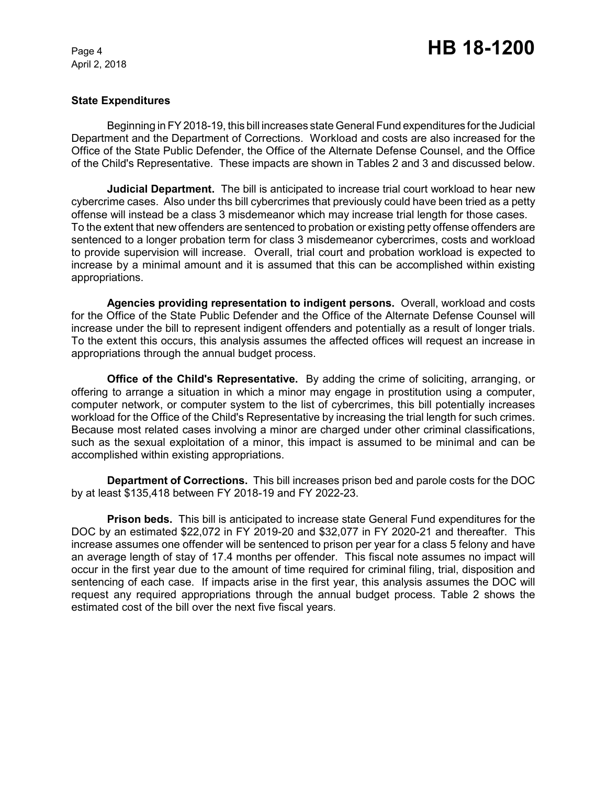# **State Expenditures**

Beginning in FY 2018-19, this bill increases state General Fund expenditures for the Judicial Department and the Department of Corrections. Workload and costs are also increased for the Office of the State Public Defender, the Office of the Alternate Defense Counsel, and the Office of the Child's Representative. These impacts are shown in Tables 2 and 3 and discussed below.

**Judicial Department.** The bill is anticipated to increase trial court workload to hear new cybercrime cases. Also under ths bill cybercrimes that previously could have been tried as a petty offense will instead be a class 3 misdemeanor which may increase trial length for those cases. To the extent that new offenders are sentenced to probation or existing petty offense offenders are sentenced to a longer probation term for class 3 misdemeanor cybercrimes, costs and workload to provide supervision will increase. Overall, trial court and probation workload is expected to increase by a minimal amount and it is assumed that this can be accomplished within existing appropriations.

**Agencies providing representation to indigent persons.** Overall, workload and costs for the Office of the State Public Defender and the Office of the Alternate Defense Counsel will increase under the bill to represent indigent offenders and potentially as a result of longer trials. To the extent this occurs, this analysis assumes the affected offices will request an increase in appropriations through the annual budget process.

**Office of the Child's Representative.** By adding the crime of soliciting, arranging, or offering to arrange a situation in which a minor may engage in prostitution using a computer, computer network, or computer system to the list of cybercrimes, this bill potentially increases workload for the Office of the Child's Representative by increasing the trial length for such crimes. Because most related cases involving a minor are charged under other criminal classifications, such as the sexual exploitation of a minor, this impact is assumed to be minimal and can be accomplished within existing appropriations.

**Department of Corrections.** This bill increases prison bed and parole costs for the DOC by at least \$135,418 between FY 2018-19 and FY 2022-23.

**Prison beds.** This bill is anticipated to increase state General Fund expenditures for the DOC by an estimated \$22,072 in FY 2019-20 and \$32,077 in FY 2020-21 and thereafter. This increase assumes one offender will be sentenced to prison per year for a class 5 felony and have an average length of stay of 17.4 months per offender. This fiscal note assumes no impact will occur in the first year due to the amount of time required for criminal filing, trial, disposition and sentencing of each case. If impacts arise in the first year, this analysis assumes the DOC will request any required appropriations through the annual budget process. Table 2 shows the estimated cost of the bill over the next five fiscal years.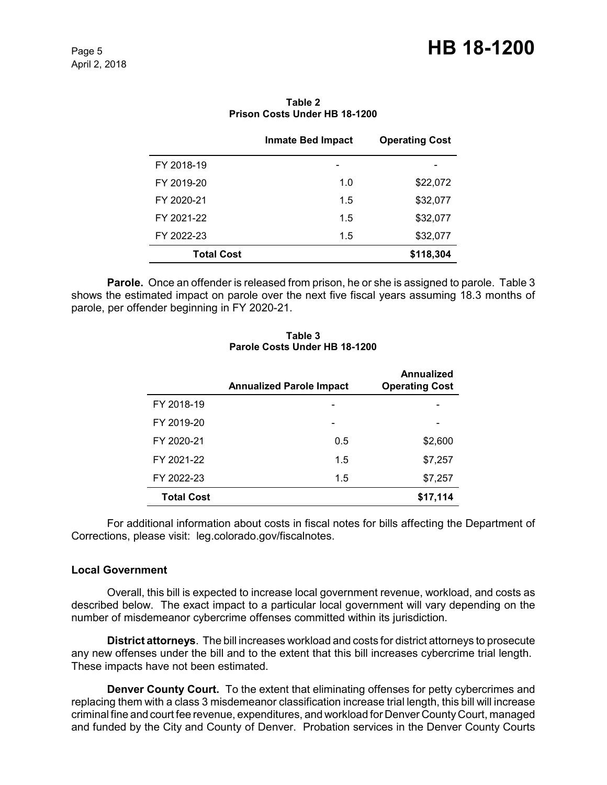|                   | <b>Inmate Bed Impact</b> | <b>Operating Cost</b> |
|-------------------|--------------------------|-----------------------|
| FY 2018-19        | -                        |                       |
| FY 2019-20        | 1.0                      | \$22,072              |
| FY 2020-21        | 1.5                      | \$32,077              |
| FY 2021-22        | 1.5                      | \$32,077              |
| FY 2022-23        | 1.5                      | \$32,077              |
| <b>Total Cost</b> |                          | \$118,304             |

#### **Table 2 Prison Costs Under HB 18-1200**

**Parole.**Once an offender is released from prison, he or she is assigned to parole. Table 3 shows the estimated impact on parole over the next five fiscal years assuming 18.3 months of parole, per offender beginning in FY 2020-21.

#### **Table 3 Parole Costs Under HB 18-1200**

|                   | <b>Annualized Parole Impact</b> | <b>Annualized</b><br><b>Operating Cost</b> |
|-------------------|---------------------------------|--------------------------------------------|
| FY 2018-19        |                                 |                                            |
| FY 2019-20        |                                 |                                            |
| FY 2020-21        | 0.5                             | \$2,600                                    |
| FY 2021-22        | 1.5                             | \$7,257                                    |
| FY 2022-23        | 1.5                             | \$7,257                                    |
| <b>Total Cost</b> |                                 | \$17,114                                   |

For additional information about costs in fiscal notes for bills affecting the Department of Corrections, please visit: leg.colorado.gov/fiscalnotes.

# **Local Government**

Overall, this bill is expected to increase local government revenue, workload, and costs as described below. The exact impact to a particular local government will vary depending on the number of misdemeanor cybercrime offenses committed within its jurisdiction.

**District attorneys**. The bill increases workload and costs for district attorneys to prosecute any new offenses under the bill and to the extent that this bill increases cybercrime trial length. These impacts have not been estimated.

**Denver County Court.** To the extent that eliminating offenses for petty cybercrimes and replacing them with a class 3 misdemeanor classification increase trial length, this bill will increase criminal fine and court fee revenue, expenditures, and workload for Denver County Court, managed and funded by the City and County of Denver. Probation services in the Denver County Courts